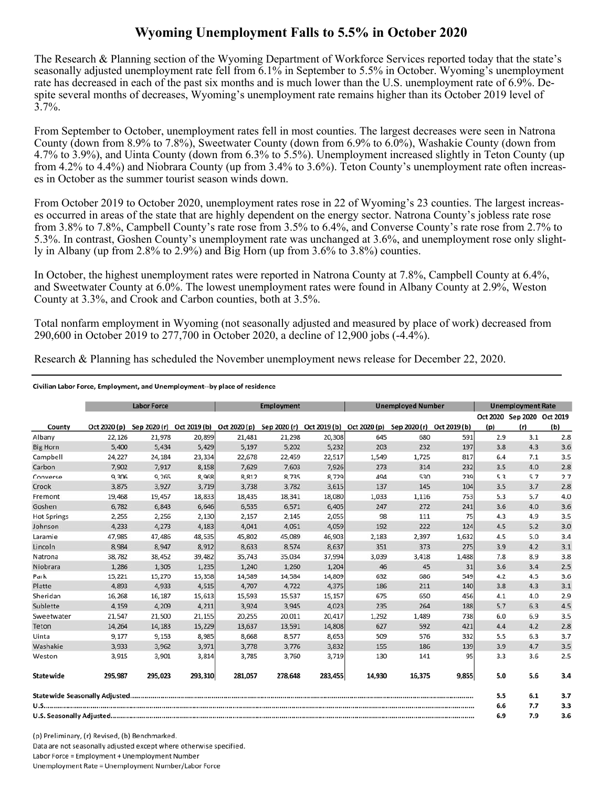## **Wyoming Unemployment Falls to 5.5% in October 2020**

The Research & Planning section of the Wyoming Department of Workforce Services reported today that the state's seasonally adjusted unemployment rate fell from 6.1% in September to 5.5% in October. Wyoming's unemployment rate has decreased in each of the past six months and is much lower than the U.S. unemployment rate of 6.9%. Despite several months of decreases, Wyoming's unemployment rate remains higher than its October 2019 level of  $3.7\%$ .

 County (down from 8.9% to 7.8%), Sweetwater County (down from 6.9% to 6.0%), Washakie County (down from From September to October, unemployment rates fell in most counties. The largest decreases were seen in Natrona 4.7% to 3.9%), and Uinta County (down from 6.3% to 5.5%). Unemployment increased slightly in Teton County (up from 4.2% to 4.4%) and Niobrara County (up from 3.4% to 3.6%). Teton County's unemployment rate often increases in October as the summer tourist season winds down.

From October 2019 to October 2020, unemployment rates rose in 22 of Wyoming's 23 counties. The largest increases occurred in areas of the state that are highly dependent on the energy sector. Natrona County's jobless rate rose from 3.8% to 7.8%, Campbell County's rate rose from 3.5% to 6.4%, and Converse County's rate rose from 2.7% to 5.3%. In contrast, Goshen County's unemployment rate was unchanged at 3.6%, and unemployment rose only slightly in Albany (up from 2.8% to 2.9%) and Big Horn (up from 3.6% to 3.8%) counties.

In October, the highest unemployment rates were reported in Natrona County at 7.8%, Campbell County at 6.4%, and Sweetwater County at 6.0%. The lowest unemployment rates were found in Albany County at 2.9%, Weston County at 3.3%, and Crook and Carbon counties, both at 3.5%.

Total nonfarm employment in Wyoming (not seasonally adjusted and measured by place of work) decreased from 290,600 in October 2019 to 277,700 in October 2020, a decline of 12,900 jobs (-4.4%).

Research & Planning has scheduled the November unemployment news release for December 22, 2020.

## Civilian Labor Force, Employment, and Unemployment--by place of residence

|                    | <b>Labor Force</b> |         |         | <b>Employment</b>                                                |         |         | <b>Unemployed Number</b> |              |              | <b>Unemployment Rate</b> |                            |     |
|--------------------|--------------------|---------|---------|------------------------------------------------------------------|---------|---------|--------------------------|--------------|--------------|--------------------------|----------------------------|-----|
|                    |                    |         |         |                                                                  |         |         |                          |              |              |                          | Oct 2020 Sep 2020 Oct 2019 |     |
| County             | Oct 2020 (p)       |         |         | Sep 2020 (r) Oct 2019 (b) Oct 2020 (p) Sep 2020 (r) Oct 2019 (b) |         |         | Oct 2020 (p)             | Sep 2020 (r) | Oct 2019 (b) | (p)                      | (r)                        | (b) |
| Albany             | 22,126             | 21,978  | 20,899  | 21,481                                                           | 21,298  | 20,308  | 645                      | 680          | 591          | 2.9                      | 3.1                        | 2.8 |
| <b>Big Horn</b>    | 5,400              | 5,434   | 5,429   | 5,197                                                            | 5,202   | 5,232   | 203                      | 232          | 197          | 3.8                      | 4.3                        | 3.6 |
| Campbell           | 24,227             | 24,184  | 23,334  | 22,678                                                           | 22,459  | 22,517  | 1,549                    | 1,725        | 817          | 6.4                      | 7.1                        | 3.5 |
| Carbon             | 7,902              | 7.917   | 8,158   | 7,629                                                            | 7,603   | 7,926   | 273                      | 314          | 232          | 3.5                      | 4.0                        | 2.8 |
| Converse           | 9,306              | 9,265   | 8,968   | 8,812                                                            | 8,735   | 8,729   | 494                      | 530          | 239          | 5.3                      | 5.7                        | 2.7 |
| Crook              | 3,875              | 3,927   | 3,719   | 3,738                                                            | 3,782   | 3,615   | 137                      | 145          | 104          | 3.5                      | 3.7                        | 2.8 |
| Fremont            | 19,468             | 19.457  | 18,833  | 18.435                                                           | 18,341  | 18,080  | 1.033                    | 1,116        | 753          | 5.3                      | 5.7                        | 4.0 |
| Goshen             | 6,782              | 6,843   | 6.646   | 6,535                                                            | 6,571   | 6,405   | 247                      | 272          | 241          | 3.6                      | 4.0                        | 3.6 |
| <b>Hot Springs</b> | 2,255              | 2,256   | 2,130   | 2,157                                                            | 2,145   | 2,055   | 98                       | 111          | 75           | 4.3                      | 4.9                        | 3.5 |
| Johnson            | 4,233              | 4,273   | 4,183   | 4,041                                                            | 4,051   | 4,059   | 192                      | 222          | 124          | 4.5                      | 5.2                        | 3.0 |
| Laramie            | 47,985             | 47,486  | 48,535  | 45,802                                                           | 45,089  | 46,903  | 2,183                    | 2,397        | 1,632        | 4.5                      | 5.0                        | 3.4 |
| Lincoln            | 8,984              | 8.947   | 8,912   | 8,633                                                            | 8,574   | 8,637   | 351                      | 373          | 275          | 3.9                      | 4.2                        | 3.1 |
| Natrona            | 38,782             | 38,452  | 39,482  | 35,743                                                           | 35,034  | 37,994  | 3,039                    | 3,418        | 1,488        | 7.8                      | 8.9                        | 3.8 |
| Niobrara           | 1,286              | 1,305   | 1,235   | 1,240                                                            | 1,260   | 1,204   | 46                       | 45           | 31           | 3.6                      | 3.4                        | 2.5 |
| Park               | 15,221             | 15,270  | 15,358  | 14,589                                                           | 14,584  | 14,809  | 632                      | 686          | 549          | 4.2                      | 4.5                        | 3.6 |
| Platte             | 4,893              | 4,933   | 4,515   | 4,707                                                            | 4,722   | 4,375   | 186                      | 211          | 140          | 3.8                      | 4.3                        | 3.1 |
| Sheridan           | 16.268             | 16,187  | 15,613  | 15,593                                                           | 15,537  | 15,157  | 675                      | 650          | 456          | 4.1                      | 4.0                        | 2.9 |
| Sublette           | 4.159              | 4.209   | 4,211   | 3.924                                                            | 3.945   | 4,023   | 235                      | 264          | 188          | 5.7                      | 6.3                        | 4.5 |
| Sweetwater         | 21.547             | 21,500  | 21,155  | 20,255                                                           | 20,011  | 20,417  | 1,292                    | 1,489        | 738          | 6.0                      | 6.9                        | 3.5 |
| Teton              | 14,264             | 14,183  | 15,229  | 13,637                                                           | 13,591  | 14,808  | 627                      | 592          | 421          | 4.4                      | 4.2                        | 2.8 |
| Uinta              | 9,177              | 9,153   | 8,985   | 8,668                                                            | 8,577   | 8,653   | 509                      | 576          | 332          | 5.5                      | 6.3                        | 3.7 |
| Washakie           | 3,933              | 3,962   | 3,971   | 3,778                                                            | 3,776   | 3,832   | 155                      | 186          | 139          | 3.9                      | 4.7                        | 3.5 |
| Weston             | 3,915              | 3,901   | 3,814   | 3,785                                                            | 3,760   | 3,719   | 130                      | 141          | 95           | 3.3                      | 3.6                        | 2.5 |
| <b>Statewide</b>   | 295,987            | 295,023 | 293,310 | 281,057                                                          | 278,648 | 283,455 | 14,930                   | 16,375       | 9,855        | 5.0                      | 5.6                        | 3.4 |
|                    |                    |         |         |                                                                  |         |         |                          | 5.5          | 6.1          | 3.7                      |                            |     |
|                    |                    |         |         |                                                                  |         |         | 6.6                      | 7.7          | 3.3          |                          |                            |     |
|                    |                    |         |         |                                                                  |         |         | 6.9                      | 7.9          | 3.6          |                          |                            |     |

(p) Preliminary, (r) Revised, (b) Benchmarked. Data are not seasonally adjusted except where otherwise specified. Labor Force = Employment + Unemployment Number Unemployment Rate = Unemployment Number/Labor Force